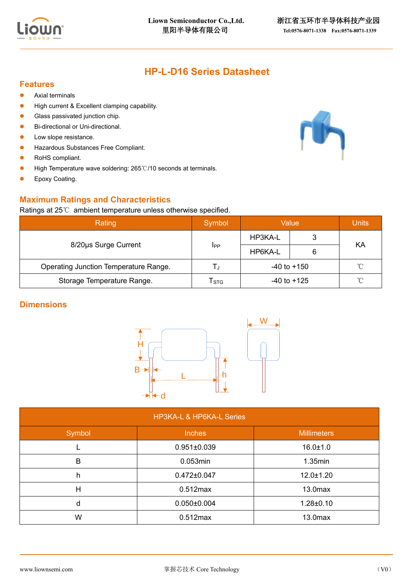

# **HP-L-D16 Series Datasheet**

#### **Features**

- Axial terminals
- High current & Excellent clamping capability.
- Glass passivated junction chip.
- Bi-directional or Uni-directional.
- Low slope resistance.
- ⚫ Hazardous Substances Free Compliant.
- RoHS compliant.
- High Temperature wave soldering: 265℃/10 seconds at terminals.
- Epoxy Coating.

### **Maximum Ratings and Characteristics**

#### Ratings at 25℃ ambient temperature unless otherwise specified.

| Rating                                | Symbol                      | Value           | Units |              |  |
|---------------------------------------|-----------------------------|-----------------|-------|--------------|--|
| 8/20us Surge Current                  | <b>I</b> PP                 | HP3KA-L         |       | ΚA           |  |
|                                       |                             | HP6KA-L         | 6     |              |  |
| Operating Junction Temperature Range. | L.I                         | $-40$ to $+150$ |       | $^{\circ}$ C |  |
| Storage Temperature Range.            | $\mathsf{T}_{\texttt{STG}}$ | $-40$ to $+125$ |       | $^{\circ}$ C |  |

## **Dimensions**



| <b>HP3KA-L &amp; HP6KA-L Series</b> |                   |                     |  |  |  |  |
|-------------------------------------|-------------------|---------------------|--|--|--|--|
| Symbol                              | <b>Inches</b>     | <b>Millimeters</b>  |  |  |  |  |
|                                     | $0.951 \pm 0.039$ | $16.0 \pm 1.0$      |  |  |  |  |
| в                                   | 0.053min          | $1.35$ min          |  |  |  |  |
| h                                   | $0.472 \pm 0.047$ | $12.0 \pm 1.20$     |  |  |  |  |
| н                                   | $0.512$ max       | 13.0 <sub>max</sub> |  |  |  |  |
| d                                   | $0.050 \pm 0.004$ | $1.28 \pm 0.10$     |  |  |  |  |
| W                                   | $0.512$ max       | 13.0 <sub>max</sub> |  |  |  |  |

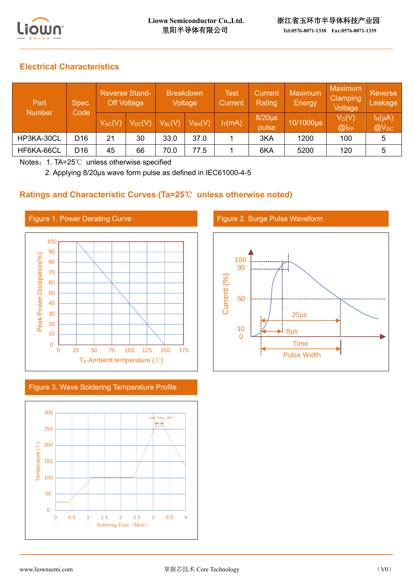

## **Electrical Characteristics**

| Part<br><b>Number</b> | Spec.<br>Code   | <b>Reverse Stand-</b><br><b>Off Voltage</b> |             | <b>Breakdown</b><br>Voltage |             | <b>Test</b><br>Current | <b>Current</b><br>Rating | Maximum<br>Energy | <b>Maximum</b><br>Clamping<br>Voltage | <b>Reverse</b><br>Leakage |
|-----------------------|-----------------|---------------------------------------------|-------------|-----------------------------|-------------|------------------------|--------------------------|-------------------|---------------------------------------|---------------------------|
|                       |                 | $V_{AC}(V)$                                 | $V_{DC}(V)$ | $V_{BL}(V)$                 | $V_{BH}(V)$ | $I_T(mA)$              | $8/20\mu s$<br>pulse     | 10/1000µs         | $V_C(V)$<br>@                         | $I_R(\mu A)$<br>$@V_{DC}$ |
| HP3KA-30CL            | D <sub>16</sub> | 21                                          | 30          | 33.0                        | 37.0        |                        | 3KA                      | 1200              | 100                                   | 5                         |
| HF6KA-66CL            | D <sub>16</sub> | 45                                          | 66          | 70.0                        | 77.5        |                        | 6KA                      | 5200              | 120                                   | 5                         |

Notes: 1. TA=25℃ unless otherwise specified

2. Applying 8/20μs wave form pulse as defined in IEC61000-4-5

### **Ratings and Characteristic Curves (Ta=25**℃ **unless otherwise noted)**



Figure 3. Wave Soldering Temperature Profile